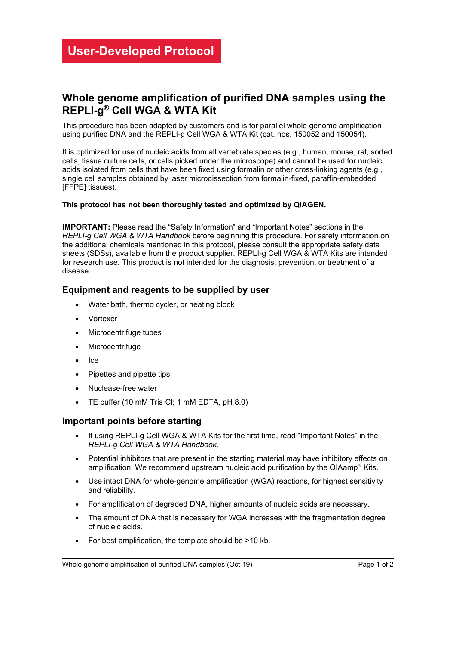## **Whole genome amplification of purified DNA samples using the REPLI-g® Cell WGA & WTA Kit**

This procedure has been adapted by customers and is for parallel whole genome amplification using purified DNA and the REPLI-g Cell WGA & WTA Kit (cat. nos. 150052 and 150054).

It is optimized for use of nucleic acids from all vertebrate species (e.g., human, mouse, rat, sorted cells, tissue culture cells, or cells picked under the microscope) and cannot be used for nucleic acids isolated from cells that have been fixed using formalin or other cross-linking agents (e.g., single cell samples obtained by laser microdissection from formalin-fixed, paraffin-embedded [FFPE] tissues).

#### **This protocol has not been thoroughly tested and optimized by QIAGEN.**

**IMPORTANT:** Please read the "Safety Information" and "Important Notes" sections in the *REPLI-g Cell WGA & WTA Handbook* before beginning this procedure. For safety information on the additional chemicals mentioned in this protocol, please consult the appropriate safety data sheets (SDSs), available from the product supplier. REPLI-g Cell WGA & WTA Kits are intended for research use. This product is not intended for the diagnosis, prevention, or treatment of a disease.

### **Equipment and reagents to be supplied by user**

- Water bath, thermo cycler, or heating block
- Vortexer
- Microcentrifuge tubes
- **Microcentrifuge**
- Ice
- Pipettes and pipette tips
- Nuclease-free water
- TE buffer (10 mM Tris·Cl; 1 mM EDTA, pH 8.0)

#### **Important points before starting**

- If using REPLI-g Cell WGA & WTA Kits for the first time, read "Important Notes" in the *REPLI-g Cell WGA & WTA Handbook*.
- Potential inhibitors that are present in the starting material may have inhibitory effects on amplification. We recommend upstream nucleic acid purification by the QIAamp® Kits.
- Use intact DNA for whole-genome amplification (WGA) reactions, for highest sensitivity and reliability.
- For amplification of degraded DNA, higher amounts of nucleic acids are necessary.
- The amount of DNA that is necessary for WGA increases with the fragmentation degree of nucleic acids.
- For best amplification, the template should be >10 kb.